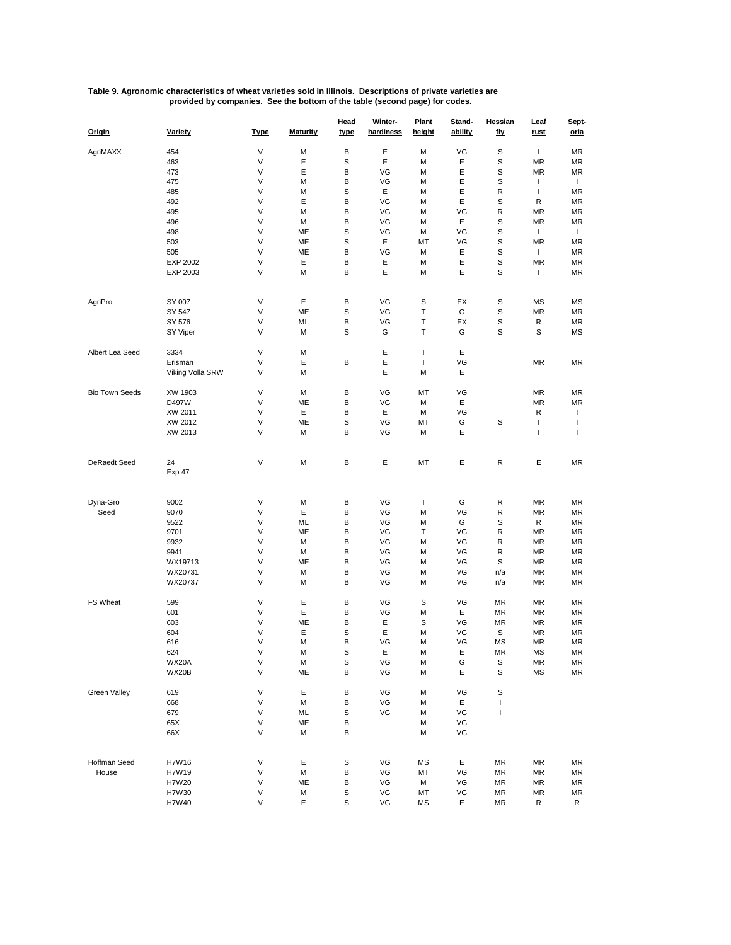## **Table 9. Agronomic characteristics of wheat varieties sold in Illinois. Descriptions of private varieties are provided by companies. See the bottom of the table (second page) for codes.**

| Origin                | <b>Variety</b>   | <u>Type</u> | <b>Maturity</b> | Head<br>type | Winter-<br>hardiness | Plant<br>height | Stand-<br>ability | Hessian<br><u>fly</u> | Leaf<br><u>rust</u> | Sept-<br><u>oria</u> |
|-----------------------|------------------|-------------|-----------------|--------------|----------------------|-----------------|-------------------|-----------------------|---------------------|----------------------|
| AgriMAXX              | 454              | V           | М               | B            | Ε                    | M               | VG                | S                     | J.                  | <b>MR</b>            |
|                       | 463              | V           | Ε               | S            | Ε                    | M               | Ε                 | S                     | MR                  | <b>MR</b>            |
|                       |                  |             |                 |              |                      |                 |                   |                       |                     |                      |
|                       | 473              | V           | Ε               | B            | VG                   | M               | Ε                 | S                     | MR                  | <b>MR</b>            |
|                       | 475              | V           | М               | B            | VG                   | M               | Ε                 | S                     | $\mathbf{I}$        | $\mathbf{I}$         |
|                       | 485              | V           | М               | S            | Ε                    | M               | Ε                 | R                     | $\mathbf{I}$        | MR                   |
|                       | 492              | V           | Ε               | B            | VG                   | M               | Ε                 | S                     | R                   | <b>MR</b>            |
|                       | 495              | V           | М               | B            | VG                   | M               | VG                | R                     | MR                  | <b>MR</b>            |
|                       | 496              | V           | М               | B            | VG                   | M               | Ε                 | S                     | MR                  | <b>MR</b>            |
|                       | 498              | V           | ME              | S            | VG                   | M               | VG                | S                     | $\mathbf{I}$        | $\mathbf{I}$         |
|                       | 503              | V           | ME              | S            | Ε                    | МT              | VG                | S                     | MR                  | MR                   |
|                       | 505              | V           | ME              | B            | VG                   | M               | Ε                 | S                     | $\mathbf{I}$        | <b>MR</b>            |
|                       | EXP 2002         | V           | Ε               | В            | Ε                    | M               | Ε                 | S                     | MR                  | MR                   |
|                       | EXP 2003         | V           | М               | B            | E                    | M               | Ε                 | S                     | $\mathbf{I}$        | <b>MR</b>            |
|                       |                  |             |                 |              |                      |                 |                   |                       |                     |                      |
| AgriPro               | SY 007           | V           | Ε               | B            | VG                   | S               | EX                | S                     | ΜS                  | MS                   |
|                       | SY 547           | V           | ME              | S            | VG                   | T               | G                 | S                     | MR                  | <b>MR</b>            |
|                       | SY 576           | V           | ML              | В            | VG                   | Т               | EX                | S                     | R                   | MR                   |
|                       |                  | V           | М               | S            | G                    | T               | G                 | S                     | S                   |                      |
|                       | SY Viper         |             |                 |              |                      |                 |                   |                       |                     | MS                   |
| Albert Lea Seed       | 3334             | V           | М               |              | E                    | T               | Ε                 |                       |                     |                      |
|                       | Erisman          | V           | Ε               | B            | Ε                    | т               | VG                |                       | MR                  | <b>MR</b>            |
|                       | Viking Volla SRW | V           | М               |              | E                    | M               | Ε                 |                       |                     |                      |
| <b>Bio Town Seeds</b> | XW 1903          | V           | М               | B            | VG                   | МT              | VG                |                       | MR                  | MR                   |
|                       | D497W            | V           | ME              | B            | VG                   | M               | Ε                 |                       | MR                  | <b>MR</b>            |
|                       | XW 2011          | V           | Ε               | B            | Ε                    | M               | VG                |                       | R                   | $\mathbf{I}$         |
|                       | XW 2012          | V           | ME              | S            | VG                   | МT              | G                 | S                     | T                   | T                    |
|                       |                  | V           |                 |              |                      |                 | E                 |                       | $\mathsf{I}$        | $\mathbf{I}$         |
|                       | XW 2013          |             | М               | B            | VG                   | M               |                   |                       |                     |                      |
| DeRaedt Seed          | 24               | V           | М               | B            | Ε                    | МT              | Ε                 | R                     | Ε                   | <b>MR</b>            |
|                       | <b>Exp 47</b>    |             |                 |              |                      |                 |                   |                       |                     |                      |
|                       |                  |             |                 |              |                      |                 |                   |                       |                     |                      |
| Dyna-Gro              | 9002             | V           | М               | B            | VG                   | T               | G                 | R                     | MR                  | MR                   |
|                       |                  |             |                 |              |                      |                 |                   |                       |                     |                      |
| Seed                  | 9070             | V           | Ε               | B            | VG                   | M               | VG                | R                     | MR                  | MR                   |
|                       | 9522             | V           | ML              | B            | VG                   | M               | G                 | S                     | R                   | <b>MR</b>            |
|                       | 9701             | V           | ME              | В            | VG                   | Т               | VG                | R                     | MR                  | MR                   |
|                       | 9932             | V           | М               | B            | VG                   | M               | VG                | R                     | ΜR                  | MR                   |
|                       | 9941             | V           | М               | B            | VG                   | M               | VG                | R                     | MR                  | <b>MR</b>            |
|                       | WX19713          | V           | ME              | B            | VG                   | M               | VG                | S                     | MR                  | MR                   |
|                       | WX20731          | V           | М               | B            | VG                   | M               | VG                | n/a                   | ΜR                  | <b>MR</b>            |
|                       | WX20737          | V           | М               | B            | VG                   | M               | VG                | n/a                   | ΜR                  | MR                   |
| FS Wheat              | 599              | V           | Ε               | B            | VG                   | S               | VG                | MR                    | MR                  | <b>MR</b>            |
|                       | 601              | V           | Ε               | B            | VG                   | M               | Ε                 | MR                    | MR                  | MR                   |
|                       | 603              | V           | ME              | B            | Ε                    | S               | VG                | MR                    | ΜR                  | <b>MR</b>            |
|                       |                  | V           |                 |              |                      |                 |                   |                       |                     |                      |
|                       | 604              |             | Ε               | S            | Ε                    | M               | VG                | S                     | ΜR                  | MR                   |
|                       | 616              | V           | М               | B            | VG                   | M               | VG                | MS                    | ΜR                  | <b>MR</b>            |
|                       | 624              | ٧           | M               | S            | Е,                   | M               | E                 | MК                    | мs                  | MК                   |
|                       | WX20A            | V           | М               | S            | VG                   | М               | G                 | s                     | ΜR                  | MR                   |
|                       | WX20B            | V           | ME              | B            | VG                   | М               | Ε                 | S                     | MS                  | MR                   |
| Green Valley          | 619              | V           | Ε               | в            | VG                   | М               | VG                | S                     |                     |                      |
|                       | 668              | V           | М               | B            | VG                   | M               | Ε                 | T                     |                     |                      |
|                       | 679              | V           | ML              | S            | VG                   | M               | VG                | L                     |                     |                      |
|                       | 65X              | V           | ME              | В            |                      | М               | VG                |                       |                     |                      |
|                       | 66X              | V           | М               | В            |                      | M               | VG                |                       |                     |                      |
|                       |                  |             |                 |              |                      |                 |                   |                       |                     |                      |
| Hoffman Seed          | H7W16            | V           | Ε               | S            | VG                   | МS              | Е                 | MR                    | ΜR                  | MR                   |
| House                 | H7W19            | V           | М               | B            | VG                   | MT              | VG                | MR                    | ΜR                  | MR                   |
|                       | H7W20            | V           | ME              | В            | VG                   | М               | VG                | MR                    | ΜR                  | MR                   |
|                       |                  |             |                 |              |                      |                 |                   |                       |                     |                      |
|                       | H7W30            | V           | М               | S            | VG                   | МT              | VG                | MR                    | MR                  | MR                   |
|                       | H7W40            | V           | Ε               | $\mathbb S$  | VG                   | МS              | Е                 | MR                    | R                   | R.                   |